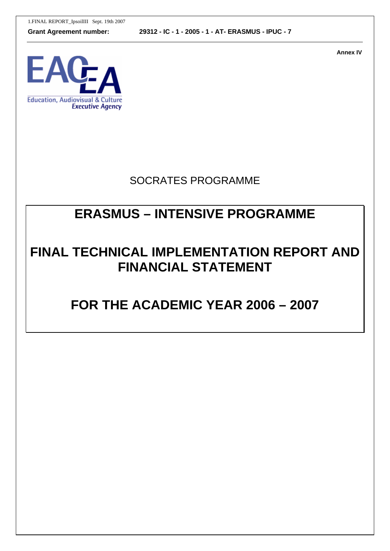1.FINAL REPORT\_IpsoilIII Sept. 19th 2007

**Grant Agreement number: 29312 - IC - 1 - 2005 - 1 - AT- ERASMUS - IPUC - 7**

**Annex IV** 



## SOCRATES PROGRAMME

# **ERASMUS – INTENSIVE PROGRAMME**

# **FINAL TECHNICAL IMPLEMENTATION REPORT AND FINANCIAL STATEMENT**

# **FOR THE ACADEMIC YEAR 2006 – 2007**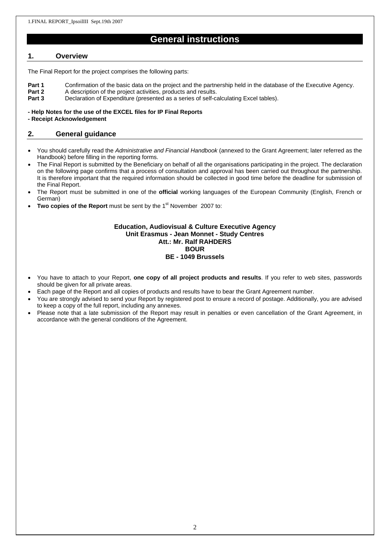### **General instructions**

#### **1. Overview**

The Final Report for the project comprises the following parts:

- **Part 1** Confirmation of the basic data on the project and the partnership held in the database of the Executive Agency.
- **Part 2** A description of the project activities, products and results.
- **Part 3** Declaration of Expenditure (presented as a series of self-calculating Excel tables).

#### **- Help Notes for the use of the EXCEL files for IP Final Reports**

**- Receipt Acknowledgement**

#### **2. General guidance**

- You should carefully read the *Administrative and Financial Handbook* (annexed to the Grant Agreement; later referred as the Handbook) before filling in the reporting forms.
- The Final Report is submitted by the Beneficiary on behalf of all the organisations participating in the project. The declaration on the following page confirms that a process of consultation and approval has been carried out throughout the partnership. It is therefore important that the required information should be collected in good time before the deadline for submission of the Final Report.
- The Report must be submitted in one of the **official** working languages of the European Community (English, French or German)
- **Two copies of the Report** must be sent by the 1<sup>st</sup> November 2007 to:

#### **Education, Audiovisual & Culture Executive Agency Unit Erasmus - Jean Monnet - Study Centres Att.: Mr. Ralf RAHDERS BOUR BE - 1049 Brussels**

- You have to attach to your Report, **one copy of all project products and results**. If you refer to web sites, passwords should be given for all private areas.
- Each page of the Report and all copies of products and results have to bear the Grant Agreement number.
- You are strongly advised to send your Report by registered post to ensure a record of postage. Additionally, you are advised to keep a copy of the full report, including any annexes.
- Please note that a late submission of the Report may result in penalties or even cancellation of the Grant Agreement, in accordance with the general conditions of the Agreement.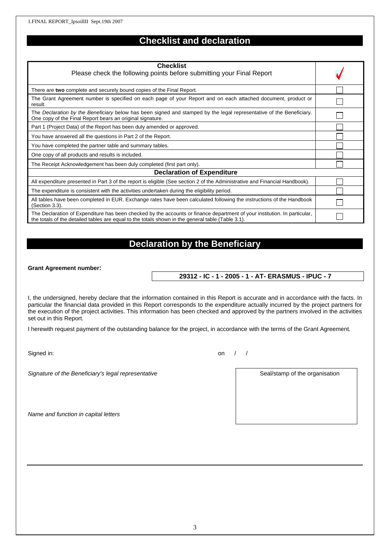## **Checklist and declaration**

| <b>Checklist</b>                                                                                                                                                                                                               |  |  |
|--------------------------------------------------------------------------------------------------------------------------------------------------------------------------------------------------------------------------------|--|--|
| Please check the following points before submitting your Final Report                                                                                                                                                          |  |  |
| There are two complete and securely bound copies of the Final Report.                                                                                                                                                          |  |  |
| The Grant Agreement number is specified on each page of your Report and on each attached document, product or<br>result.                                                                                                       |  |  |
| The Declaration by the Beneficiary below has been signed and stamped by the legal representative of the Beneficiary.<br>One copy of the Final Report bears an original signature.                                              |  |  |
| Part 1 (Project Data) of the Report has been duly amended or approved.                                                                                                                                                         |  |  |
| You have answered all the questions in Part 2 of the Report.                                                                                                                                                                   |  |  |
| You have completed the partner table and summary tables.                                                                                                                                                                       |  |  |
| One copy of all products and results is included.                                                                                                                                                                              |  |  |
| The Receipt Acknowledgement has been duly completed (first part only).                                                                                                                                                         |  |  |
| <b>Declaration of Expenditure</b>                                                                                                                                                                                              |  |  |
| All expenditure presented in Part 3 of the report is eligible (See section 2 of the Administrative and Financial Handbook).                                                                                                    |  |  |
| The expenditure is consistent with the activities undertaken during the eligibility period.                                                                                                                                    |  |  |
| All tables have been completed in EUR. Exchange rates have been calculated following the instructions of the Handbook<br>(Section 3.3).                                                                                        |  |  |
| The Declaration of Expenditure has been checked by the accounts or finance department of your institution. In particular,<br>the totals of the detailed tables are equal to the totals shown in the general table (Table 3.1). |  |  |

### **Declaration by the Beneficiary**

#### **Grant Agreement number:**

**29312 - IC - 1 - 2005 - 1 - AT- ERASMUS - IPUC - 7**

I, the undersigned, hereby declare that the information contained in this Report is accurate and in accordance with the facts. In particular the financial data provided in this Report corresponds to the expenditure actually incurred by the project partners for the execution of the project activities. This information has been checked and approved by the partners involved in the activities set out in this Report.

I herewith request payment of the outstanding balance for the project, in accordance with the terms of the Grant Agreement.

Signed in: on  $/$  /

Signature of the Beneficiary's legal representative **Seal Access 1966** Seal/stamp of the organisation

*Name and function in capital letters*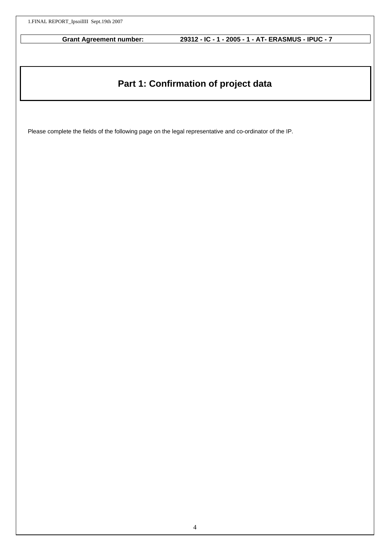# **Part 1: Confirmation of project data**

Please complete the fields of the following page on the legal representative and co-ordinator of the IP.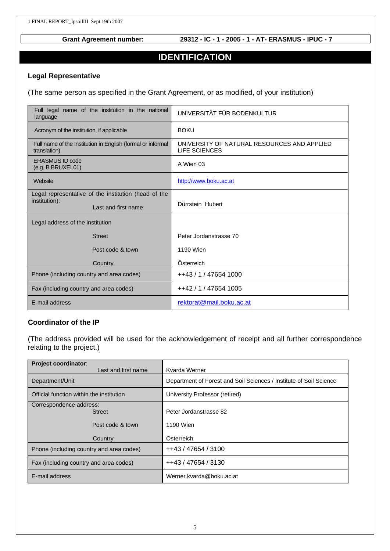### **IDENTIFICATION**

#### **Legal Representative**

(The same person as specified in the Grant Agreement, or as modified, of your institution)

| Full legal name of the institution in the national<br>language              | UNIVERSITÄT FÜR BODENKULTUR                                  |
|-----------------------------------------------------------------------------|--------------------------------------------------------------|
| Acronym of the institution, if applicable                                   | <b>BOKU</b>                                                  |
| Full name of the Institution in English (formal or informal<br>translation) | UNIVERSITY OF NATURAL RESOURCES AND APPLIED<br>LIFE SCIENCES |
| <b>ERASMUS ID code</b><br>$(e.g.$ B BRUXEL01)                               | A Wien 03                                                    |
| Website                                                                     | http://www.boku.ac.at                                        |
| Legal representative of the institution (head of the                        |                                                              |
| institution):<br>Last and first name                                        | Dürrstein Hubert                                             |
| Legal address of the institution                                            |                                                              |
| <b>Street</b>                                                               | Peter Jordanstrasse 70                                       |
| Post code & town                                                            | 1190 Wien                                                    |
| Country                                                                     | Österreich                                                   |
| Phone (including country and area codes)                                    | ++43 / 1 / 47654 1000                                        |
| Fax (including country and area codes)                                      | ++42 / 1 / 47654 1005                                        |
| E-mail address                                                              | rektorat@mail.boku.ac.at                                     |

#### **Coordinator of the IP**

(The address provided will be used for the acknowledgement of receipt and all further correspondence relating to the project.)

| <b>Project coordinator:</b>              |                                                                    |
|------------------------------------------|--------------------------------------------------------------------|
| Last and first name                      | Kvarda Werner                                                      |
| Department/Unit                          | Department of Forest and Soil Sciences / Institute of Soil Science |
| Official function within the institution | University Professor (retired)                                     |
| Correspondence address:<br><b>Street</b> | Peter Jordanstrasse 82                                             |
| Post code & town                         | 1190 Wien                                                          |
| Country                                  | Osterreich                                                         |
| Phone (including country and area codes) | ++43 / 47654 / 3100                                                |
| Fax (including country and area codes)   | ++43 / 47654 / 3130                                                |
| E-mail address                           | Werner.kvarda@boku.ac.at                                           |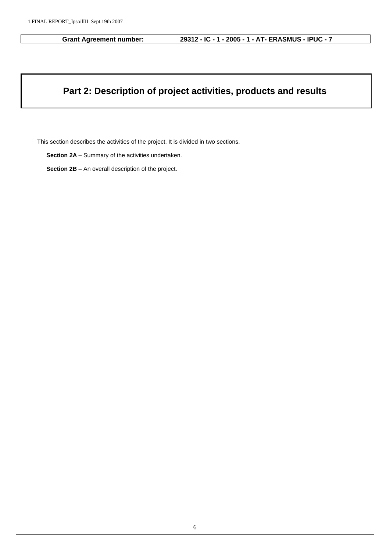### **Part 2: Description of project activities, products and results**

This section describes the activities of the project. It is divided in two sections.

**Section 2A** – Summary of the activities undertaken.

**Section 2B** – An overall description of the project.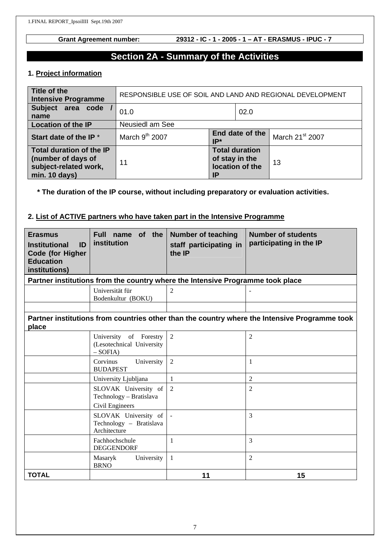### **Section 2A - Summary of the Activities**

### **1. Project information**

| Title of the<br><b>Intensive Programme</b>                                               | RESPONSIBLE USE OF SOIL AND LAND AND REGIONAL DEVELOPMENT |                                                                  |  |                             |
|------------------------------------------------------------------------------------------|-----------------------------------------------------------|------------------------------------------------------------------|--|-----------------------------|
| Subject area code<br>name                                                                | 02.0<br>01.0                                              |                                                                  |  |                             |
| <b>Location of the IP</b>                                                                | <b>Neusiedl am See</b>                                    |                                                                  |  |                             |
| Start date of the IP <sup>*</sup>                                                        | March 9 <sup>th</sup> 2007                                | End date of the<br>IP*                                           |  | March 21 <sup>st</sup> 2007 |
| Total duration of the IP<br>(number of days of<br>subject-related work,<br>min. 10 days) | 11                                                        | <b>Total duration</b><br>of stay in the<br>location of the<br>IΡ |  | 13                          |

### **\* The duration of the IP course, without including preparatory or evaluation activities.**

### **2. List of ACTIVE partners who have taken part in the Intensive Programme**

| <b>Erasmus</b><br>ID<br><b>Institutional</b><br><b>Code (for Higher</b><br><b>Education</b><br>institutions) | of the<br>Full name<br>institution                                 | <b>Number of teaching</b><br>staff participating in<br>the IP                  | <b>Number of students</b><br>participating in the IP                                          |
|--------------------------------------------------------------------------------------------------------------|--------------------------------------------------------------------|--------------------------------------------------------------------------------|-----------------------------------------------------------------------------------------------|
|                                                                                                              |                                                                    | Partner institutions from the country where the Intensive Programme took place |                                                                                               |
|                                                                                                              | Universität für<br>Bodenkultur (BOKU)                              | $\overline{2}$                                                                 |                                                                                               |
|                                                                                                              |                                                                    |                                                                                |                                                                                               |
| place                                                                                                        |                                                                    |                                                                                | Partner institutions from countries other than the country where the Intensive Programme took |
|                                                                                                              | University of Forestry<br>(Lesotechnical University<br>$-SOFIA$    | $\overline{2}$                                                                 | 2                                                                                             |
|                                                                                                              | Corvinus<br>University<br><b>BUDAPEST</b>                          | 2                                                                              | 1                                                                                             |
|                                                                                                              | University Ljubljana                                               | 1                                                                              | $\overline{2}$                                                                                |
|                                                                                                              | SLOVAK University of<br>Technology - Bratislava<br>Civil Engineers | 2                                                                              | $\overline{2}$                                                                                |
|                                                                                                              | SLOVAK University of<br>Technology – Bratislava<br>Architecture    |                                                                                | 3                                                                                             |
|                                                                                                              | Fachhochschule<br><b>DEGGENDORF</b>                                | $\mathbf{1}$                                                                   | 3                                                                                             |
|                                                                                                              | University<br>Masaryk<br><b>BRNO</b>                               | $\mathbf{1}$                                                                   | $\overline{2}$                                                                                |
| <b>TOTAL</b>                                                                                                 |                                                                    | 11                                                                             | 15                                                                                            |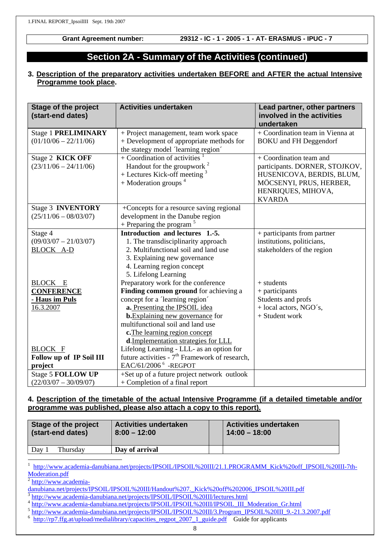### **Section 2A - Summary of the Activities (continued)**

#### **3. Description of the preparatory activities undertaken BEFORE and AFTER the actual Intensive Programme took place.**

| <b>Stage of the project</b><br>(start-end dates)                                                      | <b>Activities undertaken</b>                                                                                                                                                                                                                                                                              | Lead partner, other partners<br>involved in the activities<br>undertaken                                                                                 |
|-------------------------------------------------------------------------------------------------------|-----------------------------------------------------------------------------------------------------------------------------------------------------------------------------------------------------------------------------------------------------------------------------------------------------------|----------------------------------------------------------------------------------------------------------------------------------------------------------|
| <b>Stage 1 PRELIMINARY</b><br>$(01/10/06 - 22/11/06)$                                                 | + Project management, team work space<br>+ Development of appropriate methods for<br>the stategy model 'learning region'                                                                                                                                                                                  | + Coordination team in Vienna at<br><b>BOKU</b> and FH Deggendorf                                                                                        |
| Stage 2 KICK OFF<br>$(23/11/06 - 24/11/06)$                                                           | + Coordination of activities $\frac{1}{1}$<br>Handout for the groupwork <sup>2</sup><br>$+$ Lectures Kick-off meeting $3$<br>$+$ Moderation groups <sup>4</sup>                                                                                                                                           | + Coordination team and<br>participants. DORNER, STOJKOV,<br>HUSENICOVA, BERDIS, BLUM,<br>MÖCSENYI, PRUS, HERBER,<br>HENRIQUES, MIHOVA,<br><b>KVARDA</b> |
| Stage 3 <b>INVENTORY</b><br>$(25/11/06 - 08/03/07)$                                                   | +Concepts for a resource saving regional<br>development in the Danube region<br>+ Preparing the program $5$                                                                                                                                                                                               |                                                                                                                                                          |
| Stage 4<br>$(09/03/07 - 21/03/07)$<br><b>BLOCK A-D</b>                                                | Introduction and lectures 1.-5.<br>1. The transdisciplinarity approach<br>2. Multifunctional soil and land use<br>3. Explaining new governance<br>4. Learning region concept<br>5. Lifelong Learning                                                                                                      | + participants from partner<br>institutions, politicians,<br>stakeholders of the region                                                                  |
| <b>BLOCK E</b><br><b>CONFERENCE</b><br><u>- Haus im Puls</u><br>16.3.2007                             | Preparatory work for the conference<br>Finding common ground for achieving a<br>concept for a 'learning region'<br>a. Presenting the IPSOIL idea<br><b>b.</b> Explaining new governance for<br>multifunctional soil and land use<br>c. The learning region concept<br>d.Implementation strategies for LLL | + students<br>+ participants<br>Students and profs<br>+ local actors, NGO's,<br>+ Student work                                                           |
| <b>BLOCK F</b><br>Follow up of IP Soil III<br>project<br>Stage 5 FOLLOW UP<br>$(22/03/07 - 30/09/07)$ | Lifelong Learning - LLL- as an option for<br>future activities - 7 <sup>th</sup> Framework of research,<br>EAC/61/2006 <sup>6</sup> -REGPOT<br>+Set up of a future project network outlook<br>+ Completion of a final report                                                                              |                                                                                                                                                          |

### **4. Description of the timetable of the actual Intensive Programme (if a detailed timetable and/or programme was published, please also attach a copy to this report).**

| Stage of the project | <b>Activities undertaken</b> | <b>Activities undertaken</b> |
|----------------------|------------------------------|------------------------------|
| (start-end dates)    | $8:00 - 12:00$               | $14:00 - 18:00$              |
| Thursdav<br>Dav      | Day of arrival               |                              |

l 1 http://www.academia-danubiana.net/projects/IPSOIL/IPSOIL%20III/21.1.PROGRAMM\_Kick%20off\_IPSOIL%20III-7th-

Moderation.pdf<br><sup>2</sup> http://www.academia-

- 
- 
- danubiana.net/projects/IPSOIL/IPSOIL%20III/Handout%207. Kick%20off%202006 IPSOIL%20III.pdf<br>
<sup>3</sup><br>
http://www.academia-danubiana.net/projects/IPSOIL/IPSOIL%20III/lectures.html<br>
<sup>4</sup><br>
thtp://www.academia-danubiana.net/projects
- http://rp7.ffg.at/upload/medialibrary/capacities\_regpot\_2007\_1\_guide.pdf Guide for applicants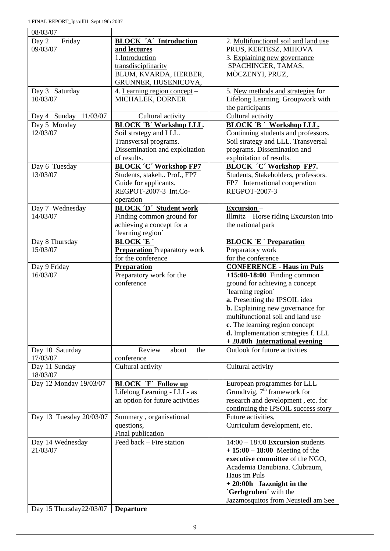| 1.FINAL REPORT_IpsoilIII Sept.19th 2007 |                                               |                                         |
|-----------------------------------------|-----------------------------------------------|-----------------------------------------|
| 08/03/07                                |                                               |                                         |
| Day 2<br>Friday                         | <b>BLOCK 'A' Introduction</b>                 | 2. Multifunctional soil and land use    |
| 09/03/07                                | and lectures                                  | PRUS, KERTESZ, MIHOVA                   |
|                                         | 1.Introduction                                | 3. Explaining new governance            |
|                                         | transdisciplinarity                           | SPACHINGER, TAMAS,                      |
|                                         |                                               |                                         |
|                                         | BLUM, KVARDA, HERBER,<br>GRÜNNER, HUSENICOVA, | MÖCZENYI, PRUZ,                         |
| Day 3 Saturday                          | 4. Learning region concept -                  | 5. New methods and strategies for       |
| 10/03/07                                | MICHALEK, DORNER                              | Lifelong Learning. Groupwork with       |
|                                         |                                               | the participants                        |
| 11/03/07                                | Cultural activity                             | Cultural activity                       |
| Day 4 Sunday                            |                                               |                                         |
| Day 5 Monday                            | <b>BLOCK 'B' Workshop LLL.</b>                | <b>BLOCK 'B ' Workshop LLL.</b>         |
| 12/03/07                                | Soil strategy and LLL.                        | Continuing students and professors.     |
|                                         | Transversal programs.                         | Soil strategy and LLL. Transversal      |
|                                         | Dissemination and exploitation                | programs. Dissemination and             |
|                                         | of results.                                   | exploitation of results.                |
| Day 6 Tuesday                           | <b>BLOCK 'C' Workshop FP7</b>                 | <b>BLOCK 'C' Workshop FP7.</b>          |
| 13/03/07                                | Students, stakeh Prof., FP7                   | Students, Stakeholders, professors.     |
|                                         | Guide for applicants.                         | FP7 International cooperation           |
|                                         | REGPOT-2007-3 Int.Co-                         | <b>REGPOT-2007-3</b>                    |
|                                         | operation                                     |                                         |
| Day 7 Wednesday                         | <b>BLOCK 'D' Student work</b>                 | $Excursion -$                           |
| 14/03/07                                | Finding common ground for                     | Illmitz - Horse riding Excursion into   |
|                                         | achieving a concept for a                     | the national park                       |
|                                         | 'learning region'                             |                                         |
|                                         | <b>BLOCK 'E'</b>                              |                                         |
| Day 8 Thursday                          |                                               | <b>BLOCK 'E ' Preparation</b>           |
| 15/03/07                                | <b>Preparation</b> Preparatory work           | Preparatory work                        |
|                                         | for the conference                            | for the conference                      |
| Day 9 Friday                            | Preparation                                   | <b>CONFERENCE - Haus im Puls</b>        |
| 16/03/07                                | Preparatory work for the                      | $+15:00-18:00$ Finding common           |
|                                         | conference                                    | ground for achieving a concept          |
|                                         |                                               | 'learning region'                       |
|                                         |                                               | a. Presenting the IPSOIL idea           |
|                                         |                                               | <b>b.</b> Explaining new governance for |
|                                         |                                               | multifunctional soil and land use       |
|                                         |                                               | c. The learning region concept          |
|                                         |                                               | d. Implementation strategies f. LLL     |
|                                         |                                               | + 20.00h International evening          |
| Day 10 Saturday                         | Review<br>about<br>the                        | Outlook for future activities           |
| 17/03/07                                | conference                                    |                                         |
| Day 11 Sunday                           | Cultural activity                             | Cultural activity                       |
| 18/03/07                                |                                               |                                         |
| Day 12 Monday 19/03/07                  | <b>BLOCK 'F' Follow up</b>                    | European programmes for LLL             |
|                                         | Lifelong Learning - LLL- as                   | Grundtvig, $7th$ framework for          |
|                                         | an option for future activities               | research and development, etc. for      |
|                                         |                                               | continuing the IPSOIL success story     |
|                                         |                                               | Future activities,                      |
| Day 13 Tuesday 20/03/07                 | Summary, organisational                       |                                         |
|                                         | questions,                                    | Curriculum development, etc.            |
|                                         | Final publication                             |                                         |
| Day 14 Wednesday                        | Feed back - Fire station                      | $14:00 - 18:00$ Excursion students      |
| 21/03/07                                |                                               | $+15:00 - 18:00$ Meeting of the         |
|                                         |                                               | executive committee of the NGO,         |
|                                         |                                               | Academia Danubiana. Clubraum,           |
|                                         |                                               | Haus im Puls                            |
|                                         |                                               | $+20:00h$ Jazznight in the              |
|                                         |                                               | 'Gerbgruben' with the                   |
|                                         |                                               | Jazzmosquitos from Neusiedl am See      |
| Day 15 Thursday 22/03/07                | <b>Departure</b>                              |                                         |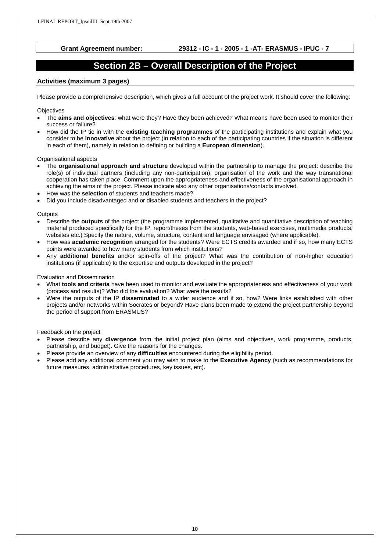### **Section 2B – Overall Description of the Project**

#### **Activities (maximum 3 pages)**

Please provide a comprehensive description, which gives a full account of the project work. It should cover the following:

**Objectives** 

- The **aims and objectives**: what were they? Have they been achieved? What means have been used to monitor their success or failure?
- How did the IP tie in with the **existing teaching programmes** of the participating institutions and explain what you consider to be **innovative** about the project (in relation to each of the participating countries if the situation is different in each of them), namely in relation to defining or building a **European dimension**).

#### Organisational aspects

- The **organisational approach and structure** developed within the partnership to manage the project: describe the role(s) of individual partners (including any non-participation), organisation of the work and the way transnational cooperation has taken place. Comment upon the appropriateness and effectiveness of the organisational approach in achieving the aims of the project. Please indicate also any other organisations/contacts involved.
- How was the **selection** of students and teachers made?
- Did you include disadvantaged and or disabled students and teachers in the project?

#### **Outputs**

- Describe the **outputs** of the project (the programme implemented, qualitative and quantitative description of teaching material produced specifically for the IP, report/theses from the students, web-based exercises, multimedia products, websites etc.) Specify the nature, volume, structure, content and language envisaged (where applicable).
- How was **academic recognition** arranged for the students? Were ECTS credits awarded and if so, how many ECTS points were awarded to how many students from which institutions?
- Any **additional benefits** and/or spin-offs of the project? What was the contribution of non-higher education institutions (if applicable) to the expertise and outputs developed in the project?

#### Evaluation and Dissemination

- What **tools and criteria** have been used to monitor and evaluate the appropriateness and effectiveness of your work (process and results)? Who did the evaluation? What were the results?
- Were the outputs of the IP **disseminated** to a wider audience and if so, how? Were links established with other projects and/or networks within Socrates or beyond? Have plans been made to extend the project partnership beyond the period of support from ERASMUS?

#### Feedback on the project

- Please describe any **divergence** from the initial project plan (aims and objectives, work programme, products, partnership, and budget). Give the reasons for the changes.
- Please provide an overview of any **difficulties** encountered during the eligibility period.
- Please add any additional comment you may wish to make to the **Executive Agency** (such as recommendations for future measures, administrative procedures, key issues, etc).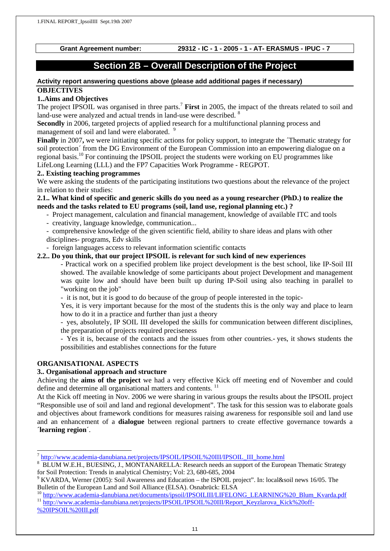### **Section 2B – Overall Description of the Project**

#### **Activity report answering questions above (please add additional pages if necessary) OBJECTIVES**

#### **1..Aims and Objectives**

The project IPSOIL was organised in three parts.<sup>7</sup> First in 2005, the impact of the threats related to soil and land-use were analyzed and actual trends in land-use were described. <sup>8</sup>

**Secondly** in 2006, targeted projects of applied research for a multifunctional planning process and management of soil and land were elaborated.<sup>9</sup>

**Finally** in 2007, we were initiating specific actions for policy support, to integrate the  $\tau$  Thematic strategy for soil protection´ from the DG Environment of the European Commission into an empowering dialogue on a regional basis.10 For continuing the IPSOIL project the students were working on EU programmes like LifeLong Learning (LLL) and the FP7 Capacities Work Programme - REGPOT.

#### **2.. Existing teaching programmes**

We were asking the students of the participating institutions two questions about the relevance of the project in relation to their studies:

#### **2.1.. What kind of specific and generic skills do you need as a young researcher (PhD.) to realize the needs and the tasks related to EU programs (soil, land use, regional planning etc.) ?**

- Project management, calculation and financial management, knowledge of available ITC and tools
- creativity, language knowledge, communication...
- comprehensive knowledge of the given scientific field, ability to share ideas and plans with other
- disciplines- programs, Edv skills
- foreign languages access to relevant information scientific contacts

#### **2.2.. Do you think, that our project IPSOIL is relevant for such kind of new experiences**

- Practical work on a specified problem like project development is the best school, like IP-Soil III showed. The available knowledge of some participants about project Development and management was quite low and should have been built up during IP-Soil using also teaching in parallel to "working on the job"

- it is not, but it is good to do because of the group of people interested in the topic-

Yes, it is very important because for the most of the students this is the only way and place to learn how to do it in a practice and further than just a theory

- yes, absolutely, IP SOIL III developed the skills for communication between different disciplines, the preparation of projects required preciseness

- Yes it is, because of the contacts and the issues from other countries.- yes, it shows students the possibilities and establishes connections for the future

#### **ORGANISATIONAL ASPECTS**

#### **3.. Organisational approach and structure**

Achieving the **aims of the project** we had a very effective Kick off meeting end of November and could define and determine all organisational matters and contents.<sup>11</sup>

At the Kick off meeting in Nov. 2006 we were sharing in various groups the results about the IPSOIL project "Responsible use of soil and land and regional development". The task for this session was to elaborate goals and objectives about framework conditions for measures raising awareness for responsible soil and land use and an enhancement of a **dialogue** between regional partners to create effective governance towards a **´learning region**´.

 $\overline{a}$ 

 $\frac{7 \text{ http://www.academia-danubiana.net/projects/IPSOLL/PSOLL/PSOLL/PSOLL} }{8 \text{ PL IUM W E H. PITERN G. I. MONTA NABE I. A: Bescarch needs an support of the EuroER$ 

BLUM W.E.H., BUESING, J., MONTANARELLA: Research needs an support of the European Thematic Strategy for Soil Protection: Trends in analytical Chemistry; Vol: 23, 680-685, 2004

<sup>&</sup>lt;sup>9</sup> KVARDA, Werner (2005): Soil Awareness and Education – the ISPOIL project". In: local&soil news 16/05. The

Bulletin of the European Land and Soil Alliance (ELSA). Osnabrück: ELSA<br>
<sup>10</sup> http://www.academia-danubiana.net/documents/ipsoil/IPSOILIII/LIFELONG\_LEARNING%20\_Blum\_Kvarda.pdf<br>
<sup>11</sup> http://www.<u>academia-danubiana.net/proje</u> %20IPSOIL%20III.pdf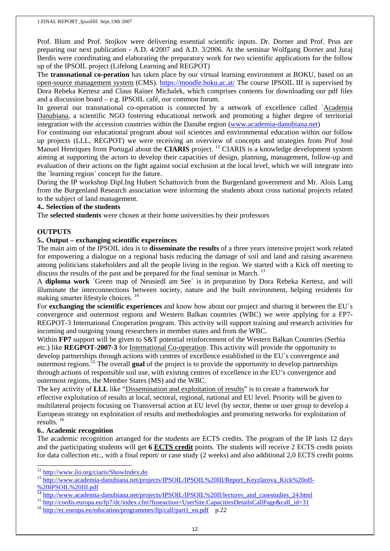Prof. Blum and Prof. Stojkov were delivering essential scientific inputs. Dr. Dorner and Prof. Prus are preparing our next publication - A.D. 4/2007 and A.D. 3/2006. At the seminar Wolfgang Dorner and Juraj Berdis were coordinating and elaborating the preparatory work for two scientific applications for the follow up of the IPSOIL project (Lifelong Learning and REGPOT)

The **transnational co-peration** has taken place by our virtual learning environment at BOKU, based on an open-source management system (CMS). https://moodle.boku.ac.at/ The course IPSOIL III is supervised by Dora Rebeka Kertesz and Claus Rainer Michalek, which comprises contents for downloading our pdf files and a discussion board – e.g. IPSOIL café, our common forum.

In general our transnational co-operation is connected by a network of excellence called ´Academia Danubiana, a scientific NGO fostering educational network and promoting a higher degree of territorial integration with the accession countries within the Danube region (www.academia-danubiana.net)

For continuing our educational program about soil sciences and environmental education within our follow up projects (LLL, REGPOT) we were receiving an overview of concepts and strategies from Prof José Manuel Henriques from Portugal about the **CIARIS** project.<sup>12</sup> CIARIS is a knowledge development system aiming at supporting the actors to develop their capacities of design, planning, management, follow-up and evaluation of their actions on the fight against social exclusion at the local level, which we will integrate into the ´learning region´ concept for the future.

During the IP workshop Dipl.Ing Hubert Schattovich from the Burgenland government and Mr. Alois Lang from the Burgenland Research association were informing the students about cross national projects related to the subject of land management.

#### **4.. Selection of the students**

The **selected students** were chosen at their home universities by their professors

#### **OUTPUTS**

#### **5.. Output – exchanging scientific expereinces**

The main aim of the IPSOIL idea is to **disseminate the results** of a three years intensive project work related for empowering a dialogue on a regional basis reducing the damage of soil and land and raising awareness among politicians stakeholders and all the people living in the region. We started with a Kick off meeting to discuss the results of the past and be prepared for the final seminar in March.<sup>13</sup>

A **diploma work** ´Green map of Neusiedl am See´ is in preparation by Dora Rebeka Kertesz, and will illuminate the interconnections between society, nature and the built environment, helping residents for making smarter lifestyle choices. 14

For **exchanging the scientific experiences** and know how about our project and sharing it between the EU´s convergence and outermost regions and Western Balkan countries (WBC) we were applying for a FP7- REGPOT-3 International Cooperation program. This activity will support training and research activities for incoming and outgoing young researchers in member states and from the WBC.

Within **FP7** support will be given to S&T potential reinforcement of the Western Balkan Countries (Serbia etc.) like **REGPOT-2007-3** for International Co-operation. This activity will provide the opportunity to develop partnerships through actions with centres of excellence established in the EU´s convergence and outermost regions.15 The overall **goal** of the project is to provide the opportunity to develop partnerships through actions of responsible soil use, with existing centres of excellence in the EU's convergence and outermost regions, the Member States (MS) and the WBC.

The key activity of **LLL** like "Dissemination and exploitation of results" is to create a framework for effective exploitation of results at local, sectoral, regional, national and EU level. Priority will be given to multilateral projects focusing on Transversal action at EU level (by sector, theme or user group to develop a European strategy on exploitation of results and methodologies and promoting networks for exploitation of results. 16

#### **6.. Academic recognition**

The academic recognition arranged for the students are ECTS credits. The program of the IP lasts 12 days and the participating students will get **6 ECTS credit** points. The students will receive 2 ECTS credit points for data collection etc., with a final report/ or case study (2 weeks) and also additional 2,0 ECTS credit points

<sup>&</sup>lt;sup>12</sup> http://www.ilo.org/ciaris/ShowIndex.do

<sup>&</sup>lt;sup>13</sup> http://www.academia-danubiana.net/projects/IPSOIL/IPSOIL%20III/Report\_Keyzlarova\_Kick%20off-

<sup>%20</sup>IPSOIL%20III.pdf<br>
<sup>14</sup> http://www.academia-danubiana.net/projects/IPSOIL/IPSOIL%20II/lectures\_and\_casestudies\_24.html<br>
<sup>15</sup> http://cordis.europa.eu/efp7/dc/index.cfm?fuseaction=UserSite.CapacitiesDetailsCallPage&call\_id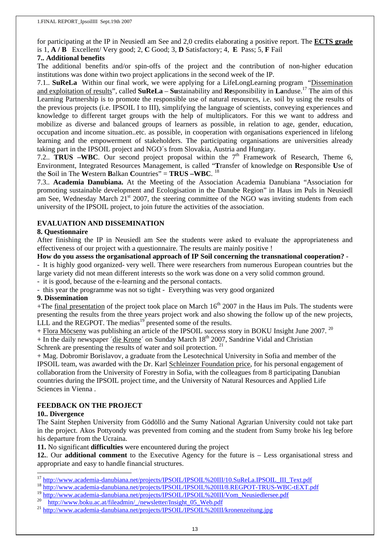for participating at the IP in Neusiedl am See and 2,0 credits elaborating a positive report. The **ECTS grade** is 1, **A / B** Excellent/ Very good; 2, **C** Good; 3, **D** Satisfactory; 4, **E** Pass; 5, **F** Fail

### **7.. Additional benefits**

The additional benefits and/or spin-offs of the project and the contribution of non-higher education institutions was done within two project applications in the second week of the IP.

7.1.. **SuReLa** Within our final work, we were applying for a LifeLongLearning program "Dissemination and exploitation of results", called **SuReLa** – **Su**stainability and **Re**sponsibility in **La**nduse.17 The aim of this Learning Partnership is to promote the responsible use of natural resources, i.e. soil by using the results of the previous projects (i.e. IPSOIL I to III), simplifying the language of scientists, conveying experiences and knowledge to different target groups with the help of multiplicators. For this we want to address and mobilize as diverse and balanced groups of learners as possible, in relation to age, gender, education, occupation and income situation..etc. as possible, in cooperation with organisations experienced in lifelong learning and the empowerment of stakeholders. The participating organisations are universities already taking part in the IPSOIL project and NGO´s from Slovakia, Austria and Hungary.

7.2.. **TRUS –WBC**. Our second project proposal within the  $7<sup>th</sup>$  Framework of Research, Theme 6, Environment, Integrated Resources Management, is called "**T**ransfer of knowledge on **R**esponsible **U**se of the **S**oil in The **W**estern **B**alkan **C**ountries" = **TRUS –WBC**. <sup>18</sup>

7.3.. **Academia Danubiana.** At the Meeting of the Association Academia Danubiana "Association for promoting sustainable development and Ecologisation in the Danube Region" in Haus im Puls in Neusiedl am See, Wednesday March 21<sup>st</sup> 2007, the steering committee of the NGO was inviting students from each university of the IPSOIL project, to join future the activities of the association.

### **EVALUATION AND DISSEMINATION**

#### **8. Questionnaire**

After finishing the IP in Neusiedl am See the students were asked to evaluate the appropriateness and effectiveness of our project with a questionnaire. The results are mainly positive !

#### **How do you assess the organisational approach of IP Soil concerning the transnational cooperation?** -

- It is highly good organized- very well. There were researchers from numerous European countries but the large variety did not mean different interests so the work was done on a very solid common ground.

- it is good, because of the e-learning and the personal contacts.

- this year the programme was not so tight - Everything was very good organized

#### **9. Dissemination**

+The final presentation of the project took place on March  $16<sup>th</sup>$  2007 in the Haus im Puls. The students were presenting the results from the three years project work and also showing the follow up of the new projects, LLL and the REGPOT. The medias<sup>19</sup> presented some of the results.

+ Flora Möcseny was publishing an article of the IPSOIL success story in BOKU Insight June 2007.<sup>20</sup>

 $+$  In the daily newspaper  $\acute{a}$  die Krone $\acute{a}$  on Sunday March 18<sup>th</sup> 2007, Sandrine Vidal and Christian

Schrenk are presenting the results of water and soil protection.  $21$ 

+ Mag. Dobromir Borislavov, a graduate from the Lesotechnical University in Sofia and member of the IPSOIL team, was awarded with the Dr. Karl Schleinzer Foundation price, for his personal engagement of collaboration from the University of Forestry in Sofia, with the colleagues from 8 participating Danubian countries during the IPSOIL project time, and the University of Natural Resources and Applied Life Sciences in Vienna .

#### **FEEDBACK ON THE PROJECT**

#### **10.. Divergence**

 $\overline{a}$ 

The Saint Stephen University from Gödöllö and the Sumy National Agrarian University could not take part in the project. Akos Pottyondy was prevented from coming and the student from Sumy broke his leg before his departure from the Ucraina.

**11.** No significant **difficulties** were encountered during the project

**12.**. Our **additional comment** to the Executive Agency for the future is – Less organisational stress and appropriate and easy to handle financial structures.

- <sup>17</sup> http://www.academia-danubiana.net/projects/IPSOIL/IPSOIL%20III/10.SuReLa.IPSOIL\_III\_Text.pdf<br><sup>18</sup> http://www.academia-danubiana.net/projects/IPSOIL/IPSOIL%20III/8.REGPOT-TRUS-WBC-tEXT.pdf<br><sup>19</sup> http://www.academia-danu
-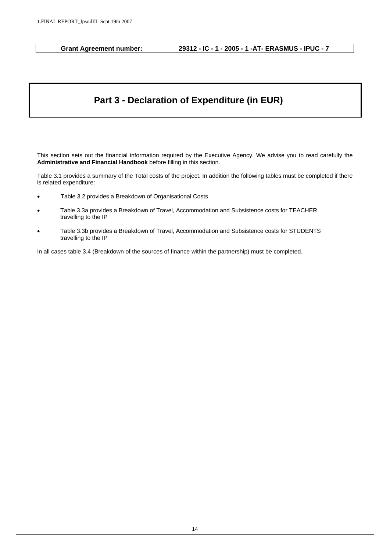### **Part 3 - Declaration of Expenditure (in EUR)**

This section sets out the financial information required by the Executive Agency. We advise you to read carefully the **Administrative and Financial Handbook** before filling in this section.

Table 3.1 provides a summary of the Total costs of the project. In addition the following tables must be completed if there is related expenditure:

- Table 3.2 provides a Breakdown of Organisational Costs
- Table 3.3a provides a Breakdown of Travel, Accommodation and Subsistence costs for TEACHER travelling to the IP
- Table 3.3b provides a Breakdown of Travel, Accommodation and Subsistence costs for STUDENTS travelling to the IP

In all cases table 3.4 (Breakdown of the sources of finance within the partnership) must be completed.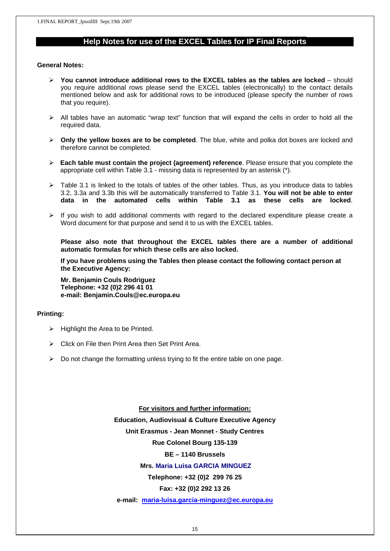### **Help Notes for use of the EXCEL Tables for IP Final Reports**

#### **General Notes:**

- ¾ **You cannot introduce additional rows to the EXCEL tables as the tables are locked**  should you require additional rows please send the EXCEL tables (electronically) to the contact details mentioned below and ask for additional rows to be introduced (please specify the number of rows that you require).
- $\triangleright$  All tables have an automatic "wrap text" function that will expand the cells in order to hold all the required data.
- ¾ **Only the yellow boxes are to be completed**. The blue, white and polka dot boxes are locked and therefore cannot be completed.
- ¾ **Each table must contain the project (agreement) reference**. Please ensure that you complete the appropriate cell within Table 3.1 - missing data is represented by an asterisk (\*).
- $\triangleright$  Table 3.1 is linked to the totals of tables of the other tables. Thus, as you introduce data to tables 3.2, 3.3a and 3.3b this will be automatically transferred to Table 3.1. **You will not be able to enter data in the automated cells within Table 3.1 as these cells are locked**.
- $\triangleright$  If you wish to add additional comments with regard to the declared expenditure please create a Word document for that purpose and send it to us with the EXCEL tables.

**Please also note that throughout the EXCEL tables there are a number of additional automatic formulas for which these cells are also locked.** 

**If you have problems using the Tables then please contact the following contact person at the Executive Agency:** 

**Mr. Benjamin Couls Rodriguez Telephone: +32 (0)2 296 41 01 e-mail: Benjamin.Couls@ec.europa.eu** 

#### **Printing:**

- $\triangleright$  Highlight the Area to be Printed.
- $\triangleright$  Click on File then Print Area then Set Print Area.
- $\triangleright$  Do not change the formatting unless trying to fit the entire table on one page.

**For visitors and further information: Education, Audiovisual & Culture Executive Agency Unit Erasmus - Jean Monnet - Study Centres Rue Colonel Bourg 135-139 BE – 1140 Brussels Mrs. Maria Luisa GARCIA MINGUEZ Telephone: +32 (0)2 299 76 25 Fax: +32 (0)2 292 13 26** 

**e-mail: maria-luisa.garcia-minguez@ec.europa.eu**